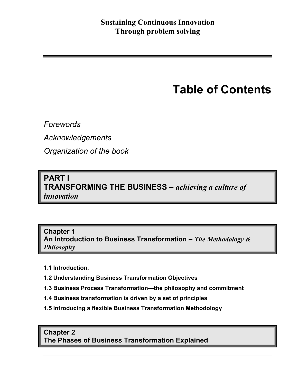# **Table of Contents**

*Forewords*

*Acknowledgements*

*Organization of the book*

## **PART I TRANSFORMING THE BUSINESS –** *achieving a culture of innovation*

**Chapter 1 An Introduction to Business Transformation –** *The Methodology & Philosophy*

- **1.1 Introduction.**
- **1.2 Understanding Business Transformation Objectives**
- **1.3 Business Process Transformation—the philosophy and commitment**
- **1.4 Business transformation is driven by a set of principles**
- **1.5 Introducing a flexible Business Transformation Methodology**

## **Chapter 2 The Phases of Business Transformation Explained**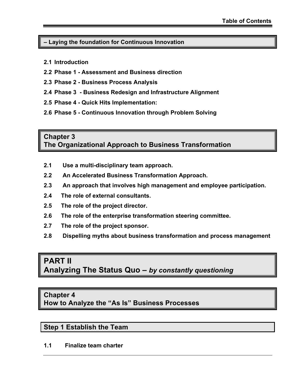#### **– Laying the foundation for Continuous Innovation**

- **2.1 Introduction**
- **2.2 Phase 1 Assessment and Business direction**
- **2.3 Phase 2 Business Process Analysis**
- **2.4 Phase 3 Business Redesign and Infrastructure Alignment**
- **2.5 Phase 4 Quick Hits Implementation:**
- **2.6 Phase 5 Continuous Innovation through Problem Solving**

## **Chapter 3 The Organizational Approach to Business Transformation**

- **2.1 Use a multi-disciplinary team approach.**
- **2.2 An Accelerated Business Transformation Approach.**
- **2.3 An approach that involves high management and employee participation.**
- **2.4 The role of external consultants.**
- **2.5 The role of the project director.**
- **2.6 The role of the enterprise transformation steering committee.**
- **2.7 The role of the project sponsor.**
- **2.8 Dispelling myths about business transformation and process management**

# **PART II**

**Analyzing The Status Quo –** *by constantly questioning*

## **Chapter 4**

**How to Analyze the "As Is" Business Processes** 

## **Step 1 Establish the Team**

**1.1 Finalize team charter**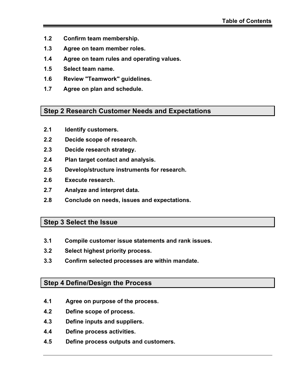- **1.2 Confirm team membership.**
- **1.3 Agree on team member roles.**
- **1.4 Agree on team rules and operating values.**
- **1.5 Select team name.**
- **1.6 Review "Teamwork" guidelines.**
- **1.7 Agree on plan and schedule.**

#### **Step 2 Research Customer Needs and Expectations**

- **2.1 Identify customers.**
- **2.2 Decide scope of research.**
- **2.3 Decide research strategy.**
- **2.4 Plan target contact and analysis.**
- **2.5 Develop/structure instruments for research.**
- **2.6 Execute research.**
- **2.7 Analyze and interpret data.**
- **2.8 Conclude on needs, issues and expectations.**

## **Step 3 Select the Issue**

- **3.1 Compile customer issue statements and rank issues.**
- **3.2 Select highest priority process.**
- **3.3 Confirm selected processes are within mandate.**

## **Step 4 Define/Design the Process**

- **4.1 Agree on purpose of the process.**
- **4.2 Define scope of process.**
- **4.3 Define inputs and suppliers.**
- **4.4 Define process activities.**
- **4.5 Define process outputs and customers.**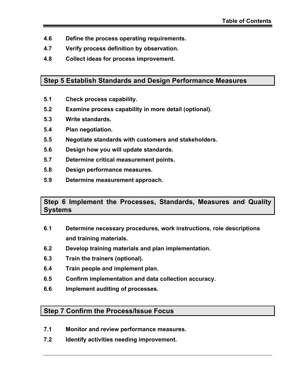- **4.6 Define the process operating requirements.**
- **4.7 Verify process definition by observation.**
- **4.8 Collect ideas for process improvement.**

## **Step 5 Establish Standards and Design Performance Measures**

- **5.1 Check process capability.**
- **5.2 Examine process capability in more detail (optional).**
- **5.3 Write standards.**
- **5.4 Plan negotiation.**
- **5.5 Negotiate standards with customers and stakeholders.**
- **5.6 Design how you will update standards.**
- **5.7 Determine critical measurement points.**
- **5.8 Design performance measures.**
- **5.9 Determine measurement approach.**

## **Step 6 Implement the Processes, Standards, Measures and Quality Systems**

- **6.1 Determine necessary procedures, work instructions, role descriptions and training materials.**
- **6.2 Develop training materials and plan implementation.**
- **6.3 Train the trainers (optional).**
- **6.4 Train people and implement plan.**
- **6.5 Confirm implementation and data collection accuracy.**
- **6.6 Implement auditing of processes.**

## **Step 7 Confirm the Process/Issue Focus**

- **7.1 Monitor and review performance measures.**
- **7.2 Identify activities needing improvement.**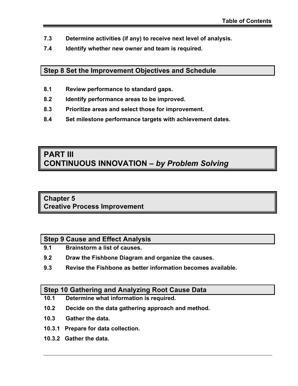- **7.3 Determine activities (if any) to receive next level of analysis.**
- **7.4 Identify whether new owner and team is required.**

## **Step 8 Set the Improvement Objectives and Schedule**

- **8.1 Review performance to standard gaps.**
- **8.2 Identify performance areas to be improved.**
- **8.3 Prioritize areas and select those for improvement.**
- **8.4 Set milestone performance targets with achievement dates.**

# **PART III CONTINUOUS INNOVATION –** *by Problem Solving*

## **Chapter 5 Creative Process Improvement**

## **Step 9 Cause and Effect Analysis**

- **9.1 Brainstorm a list of causes.**
- **9.2 Draw the Fishbone Diagram and organize the causes.**
- **9.3 Revise the Fishbone as better information becomes available.**

## **Step 10 Gathering and Analyzing Root Cause Data**

- **10.1 Determine what information is required.**
- **10.2 Decide on the data gathering approach and method.**
- **10.3 Gather the data.**
- **10.3.1 Prepare for data collection.**
- **10.3.2 Gather the data.**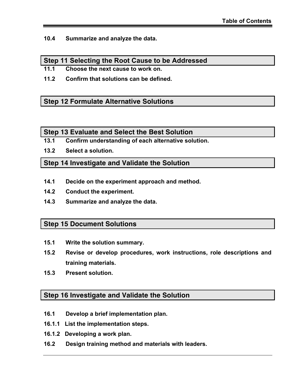**10.4 Summarize and analyze the data.**

## **Step 11 Selecting the Root Cause to be Addressed**

- **11.1 Choose the next cause to work on.**
- **11.2 Confirm that solutions can be defined.**

## **Step 12 Formulate Alternative Solutions**

#### **Step 13 Evaluate and Select the Best Solution**

- **13.1 Confirm understanding of each alternative solution.**
- **13.2 Select a solution.**

## **Step 14 Investigate and Validate the Solution**

- **14.1 Decide on the experiment approach and method.**
- **14.2 Conduct the experiment.**
- **14.3 Summarize and analyze the data.**

## **Step 15 Document Solutions**

- **15.1 Write the solution summary.**
- **15.2 Revise or develop procedures, work instructions, role descriptions and training materials.**
- **15.3 Present solution.**

## **Step 16 Investigate and Validate the Solution**

- **16.1 Develop a brief implementation plan.**
- **16.1.1 List the implementation steps.**
- **16.1.2 Developing a work plan.**
- **16.2 Design training method and materials with leaders.**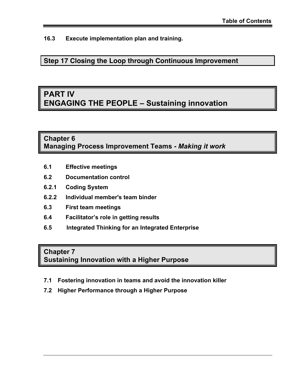**16.3 Execute implementation plan and training.**

**Step 17 Closing the Loop through Continuous Improvement**

# **PART IV ENGAGING THE PEOPLE – Sustaining innovation**

## **Chapter 6 Managing Process Improvement Teams -** *Making it work*

- **6.1 Effective meetings**
- **6.2 Documentation control**
- **6.2.1 Coding System**
- **6.2.2 Individual member's team binder**
- **6.3 First team meetings**
- **6.4 Facilitator's role in getting results**
- **6.5 Integrated Thinking for an Integrated Enterprise**

## **Chapter 7**

**Sustaining Innovation with a Higher Purpose** 

- **7.1 Fostering innovation in teams and avoid the innovation killer**
- **7.2 Higher Performance through a Higher Purpose**